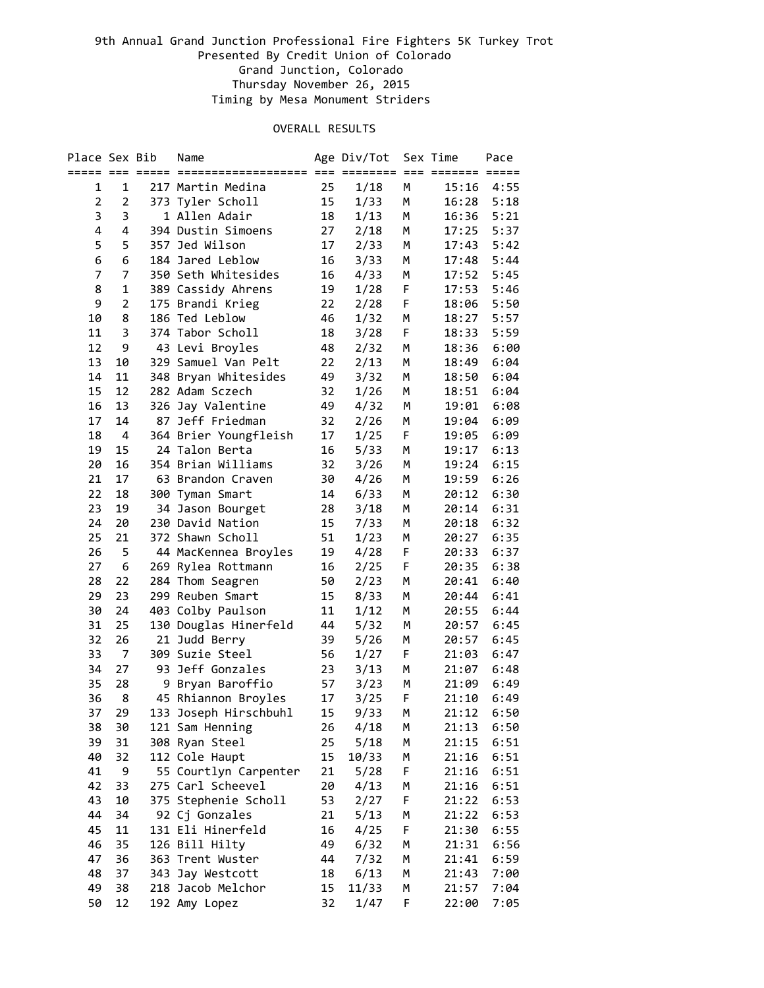| Place Sex Bib  |                |                 | Name                  |                 | Age Div/Tot |    | Sex Time    | Pace            |
|----------------|----------------|-----------------|-----------------------|-----------------|-------------|----|-------------|-----------------|
|                |                | ===== === ===== | ====================  |                 | ========    |    | === ======= | $=$ $=$ $=$ $=$ |
| 1              | 1              |                 | 217 Martin Medina     | 25              | 1/18        | М  | 15:16       | 4:55            |
| $\overline{2}$ | $\overline{2}$ |                 | 373 Tyler Scholl      | 15              | 1/33        | M  | 16:28       | 5:18            |
| 3              | 3              |                 | 1 Allen Adair         | 18              | 1/13        | М  | 16:36       | 5:21            |
| 4              | 4              |                 | 394 Dustin Simoens    | 27              | 2/18        | м  | 17:25       | 5:37            |
| 5              | 5              |                 | 357 Jed Wilson        | 17              | 2/33        | м  | 17:43       | 5:42            |
| 6              | 6              |                 | 184 Jared Leblow      | 16              | 3/33        | м  | 17:48       | 5:44            |
| 7              | 7              |                 | 350 Seth Whitesides   | 16              | 4/33        | М  | 17:52       | 5:45            |
| 8              | $\mathbf{1}$   |                 | 389 Cassidy Ahrens    | 19              | 1/28        | F  | 17:53       | 5:46            |
| 9              | $\overline{2}$ |                 | 175 Brandi Krieg      | 22              | 2/28        | F  | 18:06       | 5:50            |
| 10             | 8              |                 | 186 Ted Leblow        | 46              | 1/32        | м  | 18:27       | 5:57            |
| 11             | 3              |                 | 374 Tabor Scholl      | 18              | 3/28        | F  | 18:33       | 5:59            |
| 12             | 9              |                 | 43 Levi Broyles       | 48              | 2/32        | M  | 18:36       | 6:00            |
| 13             | 10             |                 | 329 Samuel Van Pelt   | 22              | 2/13        | Μ  | 18:49       | 6:04            |
| 14             | 11             |                 | 348 Bryan Whitesides  | 49              | 3/32        | M  | 18:50       | 6:04            |
| 15             | 12             |                 | 282 Adam Sczech       | 32              | 1/26        | M  | 18:51       | 6:04            |
| 16             | 13             |                 | 326 Jay Valentine     | 49              | 4/32        | М  | 19:01       | 6:08            |
| 17             | 14             |                 | 87 Jeff Friedman      | 32              | 2/26        | М  | 19:04       | 6:09            |
| 18             | 4              |                 | 364 Brier Youngfleish | 17              | 1/25        | F  | 19:05       | 6:09            |
| 19             | 15             |                 | 24 Talon Berta        | 16              | 5/33        | м  | 19:17       | 6:13            |
| 20             | 16             |                 | 354 Brian Williams    | 32              | 3/26        | м  | 19:24       | 6:15            |
| 21             | 17             |                 | 63 Brandon Craven     | 30              | 4/26        | м  | 19:59       | 6:26            |
| 22             | 18             |                 | 300 Tyman Smart       | 14              | 6/33        | м  | 20:12       | 6:30            |
| 23             | 19             |                 | 34 Jason Bourget      | 28              | 3/18        | м  | 20:14       | 6:31            |
| 24             | 20             |                 | 230 David Nation      | 15              | 7/33        | м  | 20:18       | 6:32            |
| 25             | 21             |                 | 372 Shawn Scholl      | 51              | 1/23        | м  | 20:27       | 6:35            |
| 26             | 5              |                 | 44 MacKennea Broyles  | 19              | 4/28        | F. | 20:33       | 6:37            |
| 27             | 6              |                 | 269 Rylea Rottmann    | 16              | 2/25        | F  | 20:35       | 6:38            |
| 28             | 22             |                 | 284 Thom Seagren      | 50              | 2/23        | M  | 20:41       | 6:40            |
| 29             | 23             |                 | 299 Reuben Smart      | 15              | 8/33        | M  | 20:44       | 6:41            |
| 30             | 24             |                 | 403 Colby Paulson     | 11              | 1/12        | м  | 20:55       | 6:44            |
| 31             | 25             |                 | 130 Douglas Hinerfeld | 44              | 5/32        | M  | 20:57       | 6:45            |
| 32             | 26             |                 | 21 Judd Berry         | 39              | 5/26        | M  | 20:57       | 6:45            |
| 33             | 7              |                 | 309 Suzie Steel       | 56              | 1/27        | F  | 21:03       | 6:47            |
| 34             | 27             | 93              | Jeff Gonzales         | 23              | 3/13        | Μ  | 21:07       | 6:48            |
| 35             | 28             |                 | 9 Bryan Baroffio      | 57              | 3/23        | М  | 21:09       | 6:49            |
| 36             | 8              |                 | 45 Rhiannon Broyles   | 17              | 3/25        | F  | 21:10       | 6:49            |
| 37             | 29             |                 | 133 Joseph Hirschbuhl | 15 <sub>1</sub> | 9/33        | М  | 21:12       | 6:50            |
| 38             | 30             |                 | 121 Sam Henning       | 26              | 4/18        | М  | 21:13       | 6:50            |
| 39             | 31             |                 | 308 Ryan Steel        | 25              | 5/18        | М  | 21:15       | 6:51            |
| 40             | 32             |                 | 112 Cole Haupt        | 15              | 10/33       | М  | 21:16       | 6:51            |
| 41             | 9              |                 | 55 Courtlyn Carpenter | 21              | 5/28        | F  | 21:16       | 6:51            |
| 42             | 33             |                 | 275 Carl Scheevel     | 20              | 4/13        | М  | 21:16       | 6:51            |
| 43             | 10             |                 | 375 Stephenie Scholl  | 53              | 2/27        | F  | 21:22       | 6:53            |
| 44             | 34             |                 | 92 Cj Gonzales        | 21              | 5/13        | М  | 21:22       | 6:53            |
| 45             | 11             |                 | 131 Eli Hinerfeld     | 16              | 4/25        | F  | 21:30       | 6:55            |
| 46             | 35             |                 | 126 Bill Hilty        | 49              | 6/32        | М  | 21:31       | 6:56            |
| 47             | 36             |                 | 363 Trent Wuster      | 44              | 7/32        | М  | 21:41       | 6:59            |
| 48             | 37             |                 | 343 Jay Westcott      | 18              | 6/13        | М  | 21:43       | 7:00            |
| 49             | 38             |                 | 218 Jacob Melchor     | 15              | 11/33       | М  | 21:57       | 7:04            |
| 50             | 12             |                 | 192 Amy Lopez         | 32              | 1/47        | F  | 22:00       | 7:05            |
|                |                |                 |                       |                 |             |    |             |                 |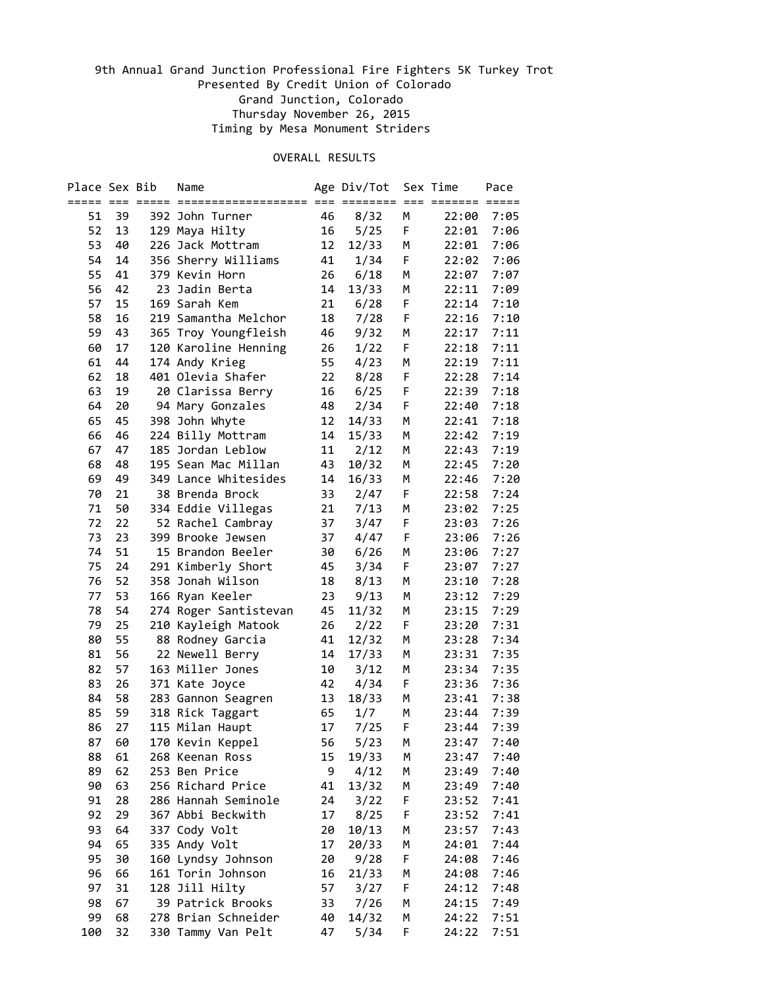| Place Sex Bib |    |    | Name                                |      | Age Div/Tot |        | Sex Time    | Pace            |
|---------------|----|----|-------------------------------------|------|-------------|--------|-------------|-----------------|
|               |    |    |                                     | $==$ | essesses    |        | === ======= | $=$ $=$ $=$ $=$ |
| 51            | 39 |    | 392 John Turner                     | 46   | 8/32        | М      | 22:00       | 7:05            |
| 52            | 13 |    | 129 Maya Hilty                      | 16   | 5/25        | F      | 22:01       | 7:06            |
| 53            | 40 |    | 226 Jack Mottram                    | 12   | 12/33       | М      | 22:01       | 7:06            |
| 54            | 14 |    | 356 Sherry Williams                 | 41   | 1/34        | F      | 22:02       | 7:06            |
| 55            | 41 |    | 379 Kevin Horn                      | 26   | 6/18        | М      | 22:07       | 7:07            |
| 56            | 42 | 23 | Jadin Berta                         | 14   | 13/33       | Μ      | 22:11       | 7:09            |
| 57            | 15 |    | 169 Sarah Kem                       | 21   | 6/28        | F      | 22:14       | 7:10            |
| 58            | 16 |    | 219 Samantha Melchor                | 18   | 7/28        | F      | 22:16       | 7:10            |
| 59            | 43 |    | 365 Troy Youngfleish                | 46   | 9/32        | М      | 22:17       | 7:11            |
| 60            | 17 |    | 120 Karoline Henning                | 26   | 1/22        | F      | 22:18       | 7:11            |
| 61            | 44 |    | 174 Andy Krieg                      | 55   | 4/23        | М      | 22:19       | 7:11            |
| 62            | 18 |    | 401 Olevia Shafer                   | 22   | 8/28        | F      | 22:28       | 7:14            |
| 63            | 19 |    | 20 Clarissa Berry                   | 16   | 6/25        | F      | 22:39       | 7:18            |
| 64            | 20 |    | 94 Mary Gonzales                    | 48   | 2/34        | F      | 22:40       | 7:18            |
| 65            | 45 |    | 398 John Whyte                      | 12   | 14/33       | Μ      | 22:41       | 7:18            |
| 66            | 46 |    | 224 Billy Mottram                   | 14   | 15/33       | M      | 22:42       | 7:19            |
| 67            | 47 |    | 185 Jordan Leblow                   | 11   | 2/12        | M      | 22:43       | 7:19            |
| 68            | 48 |    | 195 Sean Mac Millan                 | 43   | 10/32       | M      | 22:45       | 7:20            |
| 69            | 49 |    | 349 Lance Whitesides                | 14   | 16/33       | M      | 22:46       | 7:20            |
| 70            | 21 |    | 38 Brenda Brock                     | 33   | 2/47        | F      | 22:58       | 7:24            |
| 71            | 50 |    | 334 Eddie Villegas                  | 21   | 7/13        | M      | 23:02       | 7:25            |
| 72            | 22 |    | 52 Rachel Cambray                   | 37   | 3/47        | F      | 23:03       | 7:26            |
| 73            | 23 |    | 399 Brooke Jewsen                   | 37   | 4/47        | F      | 23:06       | 7:26            |
| 74            | 51 |    | 15 Brandon Beeler                   | 30   | 6/26        | M      | 23:06       | 7:27            |
| 75            | 24 |    | 291 Kimberly Short                  | 45   | 3/34        | F      | 23:07       | 7:27            |
| 76            | 52 |    | 358 Jonah Wilson                    | 18   | 8/13        | м      | 23:10       | 7:28            |
| 77            | 53 |    | 166 Ryan Keeler                     | 23   | 9/13        | М      | 23:12       | 7:29            |
| 78            | 54 |    | 274 Roger Santistevan               | 45   | 11/32       | м      | 23:15       | 7:29            |
| 79            | 25 |    | 210 Kayleigh Matook                 | 26   | 2/22        | F      | 23:20       | 7:31            |
| 80            | 55 |    | 88 Rodney Garcia                    | 41   | 12/32       | м      | 23:28       | 7:34            |
| 81            | 56 |    | 22 Newell Berry                     | 14   | 17/33       | M      | 23:31       | 7:35            |
| 82            | 57 |    | 163 Miller Jones                    | 10   | 3/12        | М      | 23:34       | 7:35            |
| 83            | 26 |    | 371 Kate Joyce                      | 42   | 4/34        | F      | 23:36       | 7:36            |
| 84            | 58 |    | 283 Gannon Seagren                  | 13   | 18/33       | М      | 23:41       | 7:38            |
| 85            | 59 |    | 318 Rick Taggart                    | 65   | 1/7         | М      | 23:44       | 7:39            |
| 86            | 27 |    | 115 Milan Haupt                     | 17   | 7/25        | F      | 23:44       | 7:39            |
| 87            | 60 |    | 170 Kevin Keppel                    | 56   | 5/23        | M      | 23:47       | 7:40            |
| 88            | 61 |    | 268 Keenan Ross<br>253 Ben Price    | 15   | 19/33       | Μ      | 23:47       | 7:40            |
| 89            | 62 |    | 256 Richard Price                   | 9    | 4/12        | М      | 23:49       | 7:40            |
| 90            | 63 |    |                                     | 41   | 13/32       | M      | 23:49       | 7:40            |
| 91            | 28 |    | 286 Hannah Seminole                 | 24   | 3/22        | F      | 23:52       | 7:41            |
| 92            | 29 |    | 367 Abbi Beckwith                   | 17   | 8/25        | F      | 23:52       | 7:41            |
| 93            | 64 |    | 337 Cody Volt                       | 20   | 10/13       | М      | 23:57       | 7:43            |
| 94            | 65 |    | 335 Andy Volt<br>160 Lyndsy Johnson | 17   | 20/33       | М      | 24:01       | 7:44            |
| 95            | 30 |    |                                     | 20   | 9/28        | F      | 24:08       | 7:46            |
| 96            | 66 |    | 161 Torin Johnson                   | 16   | 21/33       | м      | 24:08       | 7:46            |
| 97            | 31 |    | 128 Jill Hilty                      | 57   | 3/27        | F      | 24:12       | 7:48            |
| 98            | 67 |    | 39 Patrick Brooks                   | 33   | 7/26        | М      | 24:15       | 7:49            |
| 99            | 68 |    | 278 Brian Schneider                 | 40   | 14/32       | М<br>F | 24:22       | 7:51            |
| 100           | 32 |    | 330 Tammy Van Pelt                  | 47   | 5/34        |        | 24:22       | 7:51            |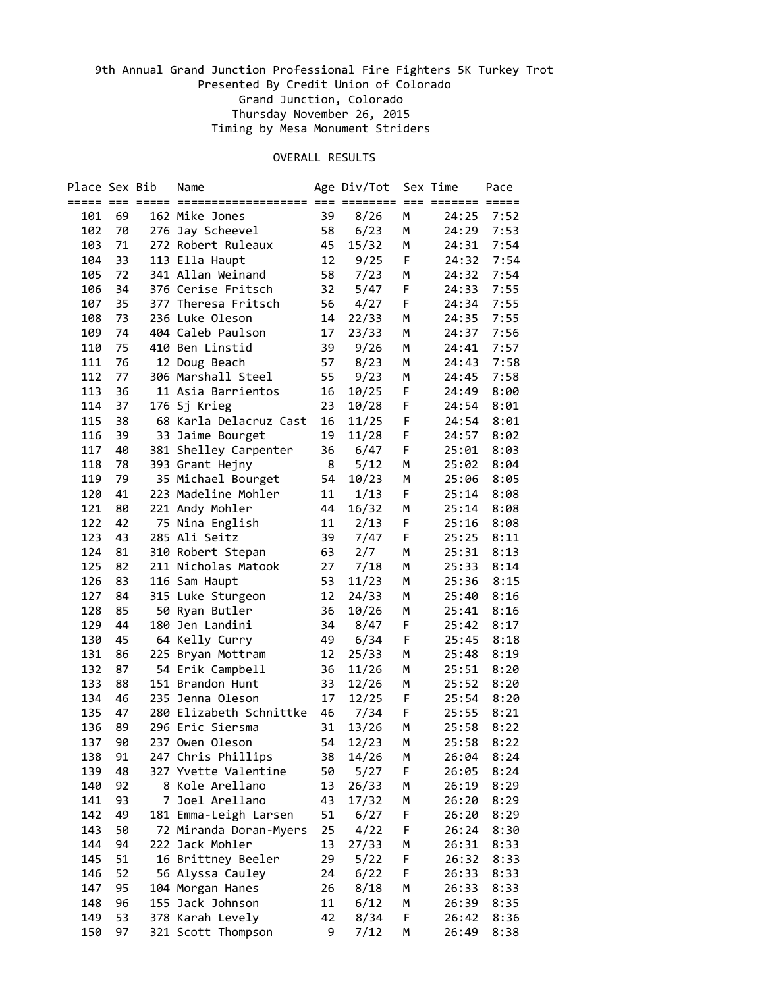| Place Sex Bib |          |    | Name                                     |         | Age Div/Tot                 |        | Sex Time       | Pace |
|---------------|----------|----|------------------------------------------|---------|-----------------------------|--------|----------------|------|
|               |          |    |                                          | $===$   | $=$ $=$ $=$ $=$ $=$ $=$ $=$ |        |                |      |
| 101           | 69       |    | 162 Mike Jones                           | 39      | 8/26                        | Μ      | 24:25          | 7:52 |
| 102           | 70       |    | 276 Jay Scheevel                         | 58      | 6/23                        | М      | 24:29          | 7:53 |
| 103           | 71       |    | 272 Robert Ruleaux                       | 45      | 15/32                       | М      | 24:31          | 7:54 |
| 104           | 33       |    | 113 Ella Haupt                           | 12      | 9/25                        | F      | 24:32          | 7:54 |
| 105           | 72       |    | 341 Allan Weinand                        | 58      | 7/23                        | м      | 24:32          | 7:54 |
| 106           | 34       |    | 376 Cerise Fritsch                       | 32      | 5/47                        | F      | 24:33          | 7:55 |
| 107           | 35       |    | 377 Theresa Fritsch                      | 56      | 4/27                        | F      | 24:34          | 7:55 |
| 108           | 73       |    | 236 Luke Oleson                          | 14      | 22/33                       | м      | 24:35          | 7:55 |
| 109           | 74       |    | 404 Caleb Paulson                        | 17      | 23/33                       | M      | 24:37          | 7:56 |
| 110           | 75       |    | 410 Ben Linstid                          | 39      | 9/26                        | M      | 24:41          | 7:57 |
| 111           | 76       |    | 12 Doug Beach                            | 57      | 8/23                        | М      | 24:43          | 7:58 |
| 112           | 77       |    | 306 Marshall Steel                       | 55      | 9/23                        | М      | 24:45          | 7:58 |
| 113           | 36       |    | 11 Asia Barrientos                       | 16      | 10/25                       | F      | 24:49          | 8:00 |
| 114           | 37       |    | 176 Sj Krieg                             | 23      | 10/28                       | F      | 24:54          | 8:01 |
| 115           | 38       |    | 68 Karla Delacruz Cast                   | 16      | 11/25                       | F      | 24:54          | 8:01 |
| 116           | 39       |    | 33 Jaime Bourget                         | 19      | 11/28                       | F      | 24:57          | 8:02 |
| 117           | 40       |    |                                          |         | 6/47                        | F      | 25:01          | 8:03 |
| 118           | 78       |    | 381 Shelley Carpenter<br>393 Grant Hejny | 36<br>8 | 5/12                        | м      | 25:02          | 8:04 |
|               |          |    |                                          |         |                             |        |                |      |
| 119<br>120    | 79<br>41 |    | 35 Michael Bourget                       | 54      | 10/23                       | М<br>F | 25:06<br>25:14 | 8:05 |
|               |          |    | 223 Madeline Mohler                      | 11      | 1/13                        |        |                | 8:08 |
| 121           | 80       |    | 221 Andy Mohler                          | 44      | 16/32                       | м      | 25:14          | 8:08 |
| 122           | 42       |    | 75 Nina English                          | 11      | 2/13                        | F.     | 25:16          | 8:08 |
| 123           | 43       |    | 285 Ali Seitz                            | 39      | 7/47                        | F      | 25:25          | 8:11 |
| 124           | 81       |    | 310 Robert Stepan                        | 63      | 2/7                         | м      | 25:31          | 8:13 |
| 125           | 82       |    | 211 Nicholas Matook                      | 27      | 7/18                        | м      | 25:33          | 8:14 |
| 126           | 83       |    | 116 Sam Haupt                            | 53      | 11/23                       | м      | 25:36          | 8:15 |
| 127           | 84       |    | 315 Luke Sturgeon                        | 12      | 24/33                       | м      | 25:40          | 8:16 |
| 128           | 85       |    | 50 Ryan Butler                           | 36      | 10/26                       | М      | 25:41          | 8:16 |
| 129           | 44       |    | 180 Jen Landini                          | 34      | 8/47                        | F      | 25:42          | 8:17 |
| 130           | 45       |    | 64 Kelly Curry                           | 49      | 6/34                        | F      | 25:45          | 8:18 |
| 131           | 86       |    | 225 Bryan Mottram                        | 12      | 25/33                       | M      | 25:48          | 8:19 |
| 132           | 87       |    | 54 Erik Campbell                         | 36      | 11/26                       | М      | 25:51          | 8:20 |
| 133           | 88       |    | 151 Brandon Hunt                         | 33      | 12/26                       | Μ      | 25:52          | 8:20 |
| 134           | 46       |    | 235 Jenna Oleson                         | 17      | 12/25                       | F      | 25:54          | 8:20 |
| 135           | 47       |    | 280 Elizabeth Schnittke                  | 46      | 7/34                        | F      | 25:55          | 8:21 |
| 136           | 89       |    | 296 Eric Siersma                         | 31      | 13/26                       | М      | 25:58          | 8:22 |
| 137           | 90       |    | 237 Owen Oleson                          | 54      | 12/23                       | M      | 25:58          | 8:22 |
| 138           | 91       |    | 247 Chris Phillips                       | 38      | 14/26                       | М      | 26:04          | 8:24 |
| 139           | 48       |    | 327 Yvette Valentine                     | 50      | 5/27                        | F      | 26:05          | 8:24 |
| 140           | 92       |    | 8 Kole Arellano                          | 13      | 26/33                       | Μ      | 26:19          | 8:29 |
| 141           | 93       | 7. | Joel Arellano                            | 43      | 17/32                       | M      | 26:20          | 8:29 |
| 142           | 49       |    | 181 Emma-Leigh Larsen                    | 51      | 6/27                        | F      | 26:20          | 8:29 |
| 143           | 50       |    | 72 Miranda Doran-Myers                   | 25      | 4/22                        | F      | 26:24          | 8:30 |
| 144           | 94       |    | 222 Jack Mohler                          | 13      | 27/33                       | Μ      | 26:31          | 8:33 |
| 145           | 51       |    | 16 Brittney Beeler                       | 29      | 5/22                        | F      | 26:32          | 8:33 |
| 146           | 52       |    | 56 Alyssa Cauley                         | 24      | 6/22                        | F      | 26:33          | 8:33 |
| 147           | 95       |    | 104 Morgan Hanes                         | 26      | 8/18                        | М      | 26:33          | 8:33 |
| 148           | 96       |    | 155 Jack Johnson                         | 11      | 6/12                        | М      | 26:39          | 8:35 |
| 149           | 53       |    | 378 Karah Levely                         | 42      | 8/34                        | F      | 26:42          | 8:36 |
| 150           | 97       |    | 321 Scott Thompson                       | 9       | 7/12                        | M      | 26:49          | 8:38 |
|               |          |    |                                          |         |                             |        |                |      |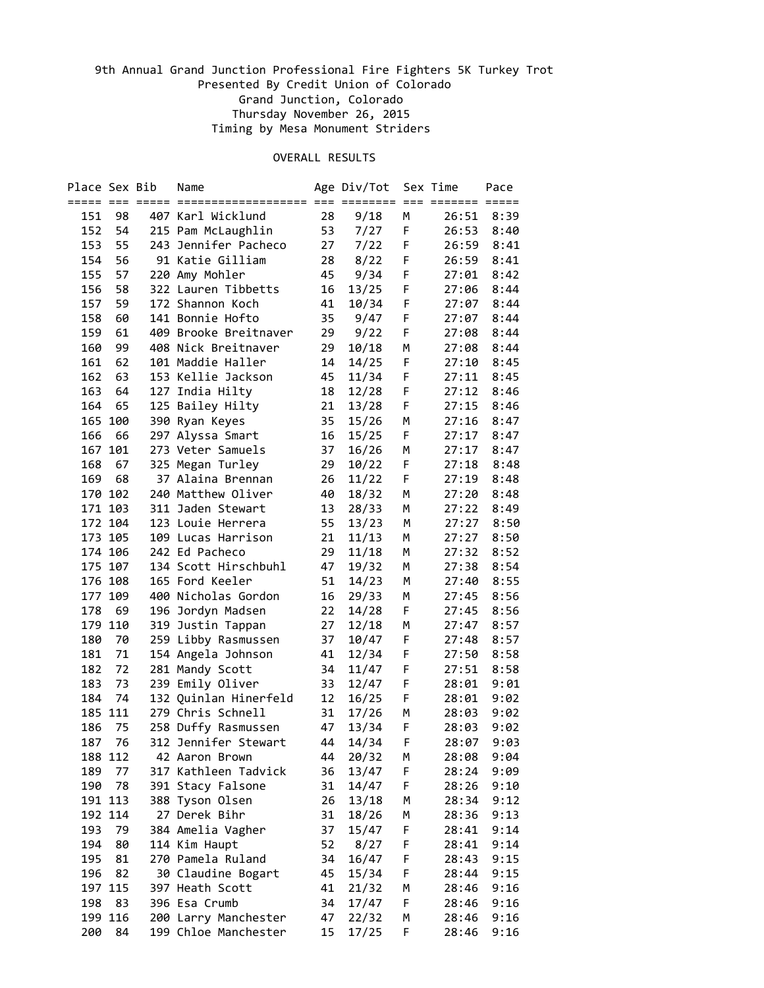| Place Sex Bib |         | Name                  |    | Age Div/Tot |   | Sex Time | Pace |
|---------------|---------|-----------------------|----|-------------|---|----------|------|
|               |         |                       |    |             |   |          |      |
| 151           | 98      | 407 Karl Wicklund     | 28 | 9/18        | М | 26:51    | 8:39 |
| 152           | 54      | 215 Pam McLaughlin    | 53 | 7/27        | F | 26:53    | 8:40 |
| 153           | 55      | 243 Jennifer Pacheco  | 27 | 7/22        | F | 26:59    | 8:41 |
| 154           | 56      | 91 Katie Gilliam      | 28 | 8/22        | F | 26:59    | 8:41 |
| 155           | 57      | 220 Amy Mohler        | 45 | 9/34        | F | 27:01    | 8:42 |
| 156           | 58      | 322 Lauren Tibbetts   | 16 | 13/25       | F | 27:06    | 8:44 |
| 157           | 59      | 172 Shannon Koch      | 41 | 10/34       | F | 27:07    | 8:44 |
| 158           | 60      | 141 Bonnie Hofto      | 35 | 9/47        | F | 27:07    | 8:44 |
| 159           | 61      | 409 Brooke Breitnaver | 29 | 9/22        | F | 27:08    | 8:44 |
| 160           | 99      | 408 Nick Breitnaver   | 29 | 10/18       | М | 27:08    | 8:44 |
| 161           | 62      | 101 Maddie Haller     | 14 | 14/25       | F | 27:10    | 8:45 |
| 162           | 63      | 153 Kellie Jackson    | 45 | 11/34       | F | 27:11    | 8:45 |
| 163           | 64      | 127 India Hilty       | 18 | 12/28       | F | 27:12    | 8:46 |
| 164           | 65      | 125 Bailey Hilty      | 21 | 13/28       | F | 27:15    | 8:46 |
| 165           | 100     | 390 Ryan Keyes        | 35 | 15/26       | Μ | 27:16    | 8:47 |
| 166           | 66      | 297 Alyssa Smart      | 16 | 15/25       | F | 27:17    | 8:47 |
|               | 167 101 | 273 Veter Samuels     | 37 | 16/26       | M | 27:17    | 8:47 |
| 168           | 67      | 325 Megan Turley      | 29 | 10/22       | F | 27:18    | 8:48 |
| 169           | 68      | 37 Alaina Brennan     | 26 | 11/22       | F | 27:19    | 8:48 |
|               | 170 102 | 240 Matthew Oliver    | 40 | 18/32       | М | 27:20    | 8:48 |
|               | 171 103 | 311 Jaden Stewart     | 13 | 28/33       | М | 27:22    | 8:49 |
|               | 172 104 | 123 Louie Herrera     | 55 | 13/23       | М | 27:27    | 8:50 |
|               | 173 105 | 109 Lucas Harrison    | 21 | 11/13       | М | 27:27    | 8:50 |
|               | 174 106 | 242 Ed Pacheco        | 29 | 11/18       | М | 27:32    | 8:52 |
|               | 175 107 | 134 Scott Hirschbuhl  | 47 | 19/32       | М | 27:38    | 8:54 |
|               | 176 108 | 165 Ford Keeler       | 51 | 14/23       | M | 27:40    | 8:55 |
|               | 177 109 | 400 Nicholas Gordon   | 16 | 29/33       | М | 27:45    | 8:56 |
| 178           | 69      | 196 Jordyn Madsen     | 22 | 14/28       | F | 27:45    | 8:56 |
|               | 179 110 | 319 Justin Tappan     | 27 | 12/18       | М | 27:47    | 8:57 |
| 180           | 70      | 259 Libby Rasmussen   | 37 | 10/47       | F | 27:48    | 8:57 |
| 181           | 71      | 154 Angela Johnson    | 41 | 12/34       | F | 27:50    | 8:58 |
| 182           | 72      | 281 Mandy Scott       | 34 | 11/47       | F | 27:51    | 8:58 |
| 183           | 73      | 239 Emily Oliver      | 33 | 12/47       | F | 28:01    | 9:01 |
| 184           | 74      | 132 Quinlan Hinerfeld | 12 | 16/25       | F | 28:01    | 9:02 |
|               | 185 111 | 279 Chris Schnell     | 31 | 17/26       | M | 28:03    | 9:02 |
| 186           | 75      | 258 Duffy Rasmussen   | 47 | 13/34       | F | 28:03    | 9:02 |
|               | 187 76  | 312 Jennifer Stewart  | 44 | 14/34       | F | 28:07    | 9:03 |
|               | 188 112 | 42 Aaron Brown        | 44 | 20/32       | М | 28:08    | 9:04 |
| 189           | 77      | 317 Kathleen Tadvick  | 36 | 13/47       | F | 28:24    | 9:09 |
| 190           | 78      | 391 Stacy Falsone     | 31 | 14/47       | F | 28:26    | 9:10 |
|               | 191 113 | 388 Tyson Olsen       | 26 | 13/18       | М | 28:34    | 9:12 |
|               | 192 114 | 27 Derek Bihr         | 31 | 18/26       | M | 28:36    | 9:13 |
| 193           | 79      | 384 Amelia Vagher     | 37 | 15/47       | F | 28:41    | 9:14 |
| 194           | 80      | 114 Kim Haupt         | 52 | 8/27        | F | 28:41    | 9:14 |
| 195           | 81      | 270 Pamela Ruland     | 34 | 16/47       | F | 28:43    | 9:15 |
| 196           | 82      | 30 Claudine Bogart    | 45 | 15/34       | F | 28:44    | 9:15 |
|               | 197 115 | 397 Heath Scott       | 41 | 21/32       | М | 28:46    | 9:16 |
| 198           | 83      | 396 Esa Crumb         | 34 | 17/47       | F | 28:46    | 9:16 |
|               | 199 116 | 200 Larry Manchester  | 47 | 22/32       | М | 28:46    | 9:16 |
| 200           | 84      | 199 Chloe Manchester  | 15 | 17/25       | F | 28:46    | 9:16 |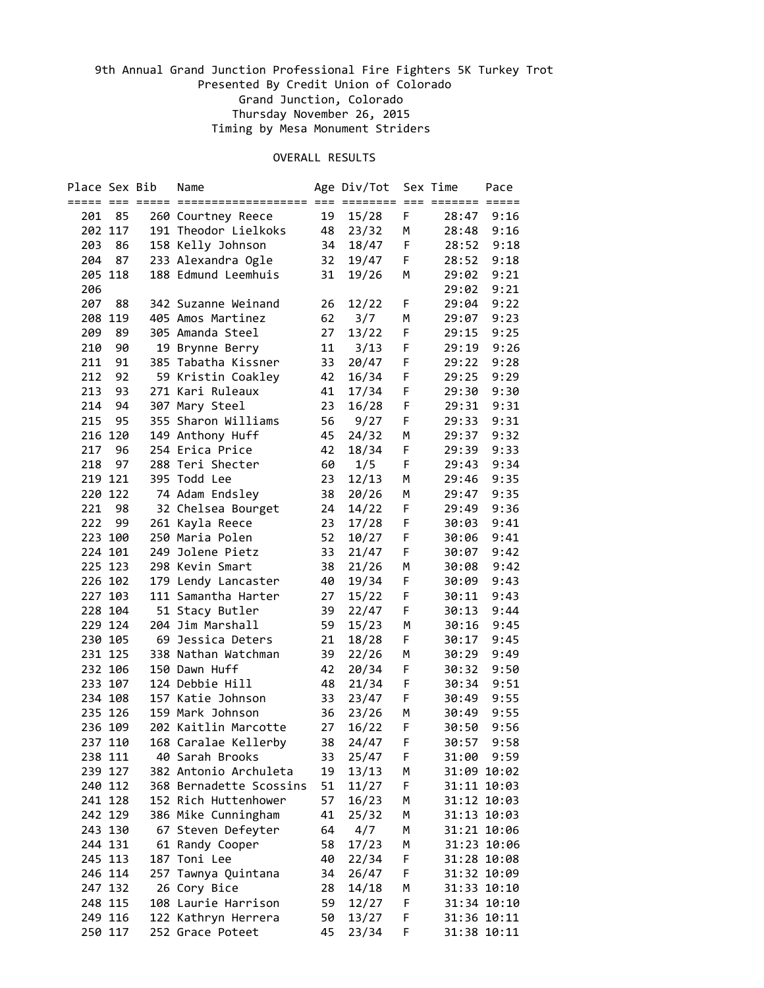| Place Sex Bib |                    | Name                            |    | Age Div/Tot |    | Sex Time    | Pace        |
|---------------|--------------------|---------------------------------|----|-------------|----|-------------|-------------|
|               |                    |                                 |    |             |    |             |             |
| 201           | 85                 | 260 Courtney Reece              | 19 | 15/28       | F  | 28:47       | 9:16        |
|               | 202 117            | 191 Theodor Lielkoks            | 48 | 23/32       | М  | 28:48       | 9:16        |
| 203           | 86                 | 158 Kelly Johnson               | 34 | 18/47       | F  | 28:52       | 9:18        |
| 204           | 87                 | 233 Alexandra Ogle              | 32 | 19/47       | F  | 28:52       | 9:18        |
|               | 205 118            | 188 Edmund Leemhuis             | 31 | 19/26       | М  | 29:02       | 9:21        |
| 206           |                    |                                 |    |             |    | 29:02       | 9:21        |
| 207           | 88                 | 342 Suzanne Weinand             | 26 | 12/22       | F  | 29:04       | 9:22        |
| 208           | 119                | 405 Amos Martinez               | 62 | 3/7         | М  | 29:07       | 9:23        |
| 209           | 89                 | 305 Amanda Steel                | 27 | 13/22       | F  | 29:15       | 9:25        |
| 210           | 90                 | 19 Brynne Berry                 | 11 | 3/13        | F  | 29:19       | 9:26        |
| 211           | 91                 | 385 Tabatha Kissner             | 33 | 20/47       | F  | 29:22       | 9:28        |
| 212           | 92                 | 59 Kristin Coakley              | 42 | 16/34       | F  | 29:25       | 9:29        |
| 213           | 93                 | 271 Kari Ruleaux                | 41 | 17/34       | F  | 29:30       | 9:30        |
| 214           | 94                 | 307 Mary Steel                  | 23 | 16/28       | F  | 29:31       | 9:31        |
| 215           | 95                 | 355 Sharon Williams             | 56 | 9/27        | F  | 29:33       | 9:31        |
|               | 216 120            | 149 Anthony Huff                | 45 | 24/32       | M  | 29:37       | 9:32        |
| 217           | 96                 | 254 Erica Price                 | 42 | 18/34       | F  | 29:39       | 9:33        |
| 218           | 97                 | 288 Teri Shecter                | 60 | 1/5         | F  | 29:43       | 9:34        |
|               | 219 121            | 395 Todd Lee                    | 23 | 12/13       | м  | 29:46       | 9:35        |
|               | 220 122            | 74 Adam Endsley                 | 38 | 20/26       | М  | 29:47       | 9:35        |
| 221           | 98                 | 32 Chelsea Bourget              | 24 | 14/22       | F  | 29:49       | 9:36        |
| 222           | 99                 | 261 Kayla Reece                 | 23 | 17/28       | F  | 30:03       | 9:41        |
|               | 223 100            | 250 Maria Polen                 | 52 | 10/27       | F  | 30:06       | 9:41        |
|               | 224 101            | 249 Jolene Pietz                | 33 | 21/47       | F  | 30:07       | 9:42        |
|               | 225 123            | 298 Kevin Smart                 | 38 | 21/26       | М  | 30:08       | 9:42        |
|               | 226 102            | 179 Lendy Lancaster             | 40 | 19/34       | F  | 30:09       | 9:43        |
|               | 227 103            | 111 Samantha Harter             | 27 | 15/22       | F  | 30:11       | 9:43        |
|               | 228 104            | 51 Stacy Butler                 | 39 | 22/47       | F  | 30:13       | 9:44        |
|               | 229 124            | 204 Jim Marshall                | 59 | 15/23       | М  | 30:16       | 9:45        |
|               | 230 105            | 69 Jessica Deters               | 21 | 18/28       | F  | 30:17       | 9:45        |
|               | 231 125            | 338 Nathan Watchman             | 39 | 22/26       | Μ  | 30:29       | 9:49        |
|               | 232 106            | 150 Dawn Huff                   | 42 | 20/34       | F  | 30:32       | 9:50        |
|               | 233 107            | 124 Debbie Hill                 | 48 | 21/34       | F  | 30:34       | 9:51        |
|               | 234 108            | 157 Katie Johnson               | 33 | 23/47       | F  | 30:49       | 9:55        |
|               | 235 126            | 159 Mark Johnson                | 36 | 23/26       | M  | 30:49       | 9:55        |
|               | 236 109            | 202 Kaitlin Marcotte            | 27 | 16/22       | F  | 30:50       | 9:56        |
|               | 237 110            | 168 Caralae Kellerby            |    | 38 24/47    | F  |             | 30:57 9:58  |
|               | 238 111            | 40 Sarah Brooks                 | 33 | 25/47       | F. | 31:00       | 9:59        |
|               | 239 127            | 382 Antonio Archuleta           | 19 | 13/13       | Μ  |             | 31:09 10:02 |
|               | 240 112            | 368 Bernadette Scossins         | 51 | 11/27       | F  | 31:11 10:03 |             |
|               | 241 128            | 152 Rich Huttenhower            | 57 | 16/23       | М  | 31:12 10:03 |             |
|               | 242 129            | 386 Mike Cunningham             | 41 | 25/32       | М  | 31:13 10:03 |             |
|               |                    |                                 |    |             |    | 31:21 10:06 |             |
|               | 243 130<br>244 131 | 67 Steven Defeyter              | 64 | 4/7         | Μ  |             |             |
|               |                    | 61 Randy Cooper<br>187 Toni Lee | 58 | 17/23       | М  |             | 31:23 10:06 |
|               | 245 113            |                                 | 40 | 22/34       | F  |             | 31:28 10:08 |
|               | 246 114            | 257 Tawnya Quintana             | 34 | 26/47       | F  | 31:32 10:09 |             |
|               | 247 132            | 26 Cory Bice                    | 28 | 14/18       | М  | 31:33 10:10 |             |
|               | 248 115            | 108 Laurie Harrison             | 59 | 12/27       | F  |             | 31:34 10:10 |
|               | 249 116            | 122 Kathryn Herrera             | 50 | 13/27       | F  | 31:36 10:11 |             |
|               | 250 117            | 252 Grace Poteet                | 45 | 23/34       | F  | 31:38 10:11 |             |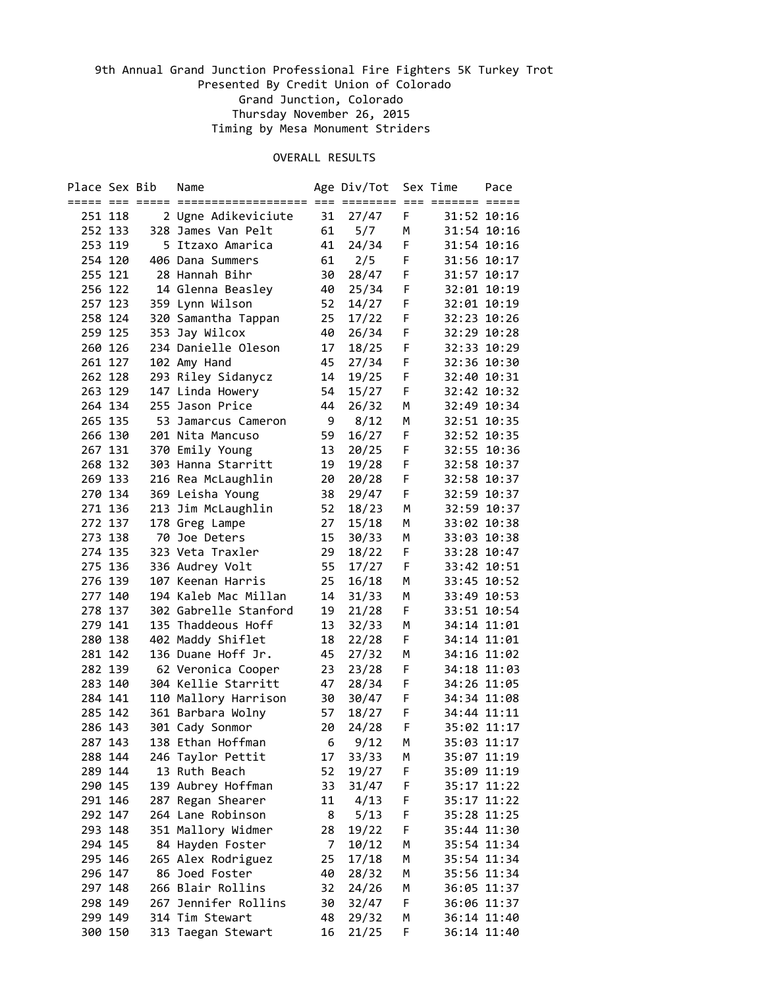| Place Sex Bib |         | Name                  |    | Age Div/Tot   |    | Sex Time | Pace        |
|---------------|---------|-----------------------|----|---------------|----|----------|-------------|
|               |         |                       |    |               |    |          |             |
|               | 251 118 | 2 Ugne Adikeviciute   | 31 | 27/47         | F  |          | 31:52 10:16 |
|               | 252 133 | 328 James Van Pelt    | 61 | 5/7           | М  |          | 31:54 10:16 |
|               | 253 119 | 5 Itzaxo Amarica      | 41 | 24/34         | F. |          | 31:54 10:16 |
|               | 254 120 | 406 Dana Summers      | 61 | 2/5           | F  |          | 31:56 10:17 |
|               | 255 121 | 28 Hannah Bihr        | 30 | 28/47         | F  |          | 31:57 10:17 |
|               | 256 122 | 14 Glenna Beasley     | 40 | 25/34         | F  |          | 32:01 10:19 |
|               | 257 123 | 359 Lynn Wilson       | 52 | 14/27         | F  |          | 32:01 10:19 |
|               | 258 124 | 320 Samantha Tappan   | 25 | 17/22         | F  |          | 32:23 10:26 |
|               | 259 125 | 353 Jay Wilcox        | 40 | 26/34         | F  |          | 32:29 10:28 |
|               | 260 126 | 234 Danielle Oleson   | 17 | 18/25         | F  |          | 32:33 10:29 |
|               | 261 127 | 102 Amy Hand          | 45 | 27/34         | F  |          | 32:36 10:30 |
|               | 262 128 | 293 Riley Sidanycz    | 14 | 19/25         | F  |          | 32:40 10:31 |
|               | 263 129 | 147 Linda Howery      | 54 | 15/27         | F  |          | 32:42 10:32 |
|               | 264 134 | 255 Jason Price       | 44 | 26/32         | M  |          | 32:49 10:34 |
|               | 265 135 | 53 Jamarcus Cameron   | 9  | 8/12          | M  |          | 32:51 10:35 |
|               | 266 130 | 201 Nita Mancuso      | 59 | 16/27         | F  |          | 32:52 10:35 |
|               | 267 131 | 370 Emily Young       | 13 | 20/25         | F  |          | 32:55 10:36 |
|               | 268 132 | 303 Hanna Starritt    | 19 | 19/28         | F  |          | 32:58 10:37 |
|               | 269 133 | 216 Rea McLaughlin    | 20 | 20/28         | F  |          | 32:58 10:37 |
|               | 270 134 | 369 Leisha Young      | 38 | 29/47         | F  |          | 32:59 10:37 |
|               | 271 136 | 213 Jim McLaughlin    | 52 | 18/23         | М  |          | 32:59 10:37 |
|               | 272 137 | 178 Greg Lampe        | 27 | 15/18         | М  |          | 33:02 10:38 |
|               | 273 138 | 70 Joe Deters         | 15 | 30/33         | М  |          | 33:03 10:38 |
|               | 274 135 | 323 Veta Traxler      | 29 | 18/22         | F  |          | 33:28 10:47 |
|               | 275 136 | 336 Audrey Volt       | 55 | 17/27         | F  |          | 33:42 10:51 |
|               | 276 139 | 107 Keenan Harris     | 25 | 16/18         | м  |          | 33:45 10:52 |
|               | 277 140 | 194 Kaleb Mac Millan  | 14 | 31/33         | м  |          | 33:49 10:53 |
|               | 278 137 | 302 Gabrelle Stanford | 19 | 21/28         | F  |          | 33:51 10:54 |
|               | 279 141 | 135 Thaddeous Hoff    | 13 | 32/33         | м  |          | 34:14 11:01 |
|               | 280 138 | 402 Maddy Shiflet     | 18 | 22/28         | F  |          | 34:14 11:01 |
|               | 281 142 | 136 Duane Hoff Jr.    | 45 | 27/32         | м  |          | 34:16 11:02 |
|               | 282 139 | 62 Veronica Cooper    | 23 | 23/28         | F  |          | 34:18 11:03 |
|               | 283 140 | 304 Kellie Starritt   | 47 | 28/34         | F  |          | 34:26 11:05 |
|               | 284 141 | 110 Mallory Harrison  | 30 | 30/47         | F  |          | 34:34 11:08 |
|               | 285 142 | 361 Barbara Wolny     | 57 | 18/27         | F  |          | 34:44 11:11 |
|               | 286 143 | 301 Cady Sonmor       | 20 | 24/28         | F  |          | 35:02 11:17 |
|               | 287 143 | 138 Ethan Hoffman     |    | $6\quad 9/12$ | M  |          | 35:03 11:17 |
|               | 288 144 | 246 Taylor Pettit     | 17 | 33/33         | М  |          | 35:07 11:19 |
|               | 289 144 | 13 Ruth Beach         | 52 | 19/27         | F  |          | 35:09 11:19 |
|               | 290 145 | 139 Aubrey Hoffman    | 33 | 31/47         | F  |          | 35:17 11:22 |
|               | 291 146 | 287 Regan Shearer     | 11 | 4/13          | F  |          | 35:17 11:22 |
|               | 292 147 | 264 Lane Robinson     | 8  | 5/13          | F  |          | 35:28 11:25 |
|               | 293 148 | 351 Mallory Widmer    | 28 | 19/22         | F  |          | 35:44 11:30 |
|               | 294 145 | 84 Hayden Foster      | 7  | 10/12         | М  |          | 35:54 11:34 |
|               | 295 146 | 265 Alex Rodriguez    | 25 | 17/18         | М  |          | 35:54 11:34 |
|               | 296 147 | 86 Joed Foster        | 40 | 28/32         | М  |          | 35:56 11:34 |
|               | 297 148 | 266 Blair Rollins     | 32 | 24/26         | М  |          | 36:05 11:37 |
|               | 298 149 | 267 Jennifer Rollins  | 30 | 32/47         | F  |          | 36:06 11:37 |
|               | 299 149 | 314 Tim Stewart       | 48 | 29/32         | м  |          | 36:14 11:40 |
|               | 300 150 | 313 Taegan Stewart    | 16 | 21/25         | F  |          | 36:14 11:40 |
|               |         |                       |    |               |    |          |             |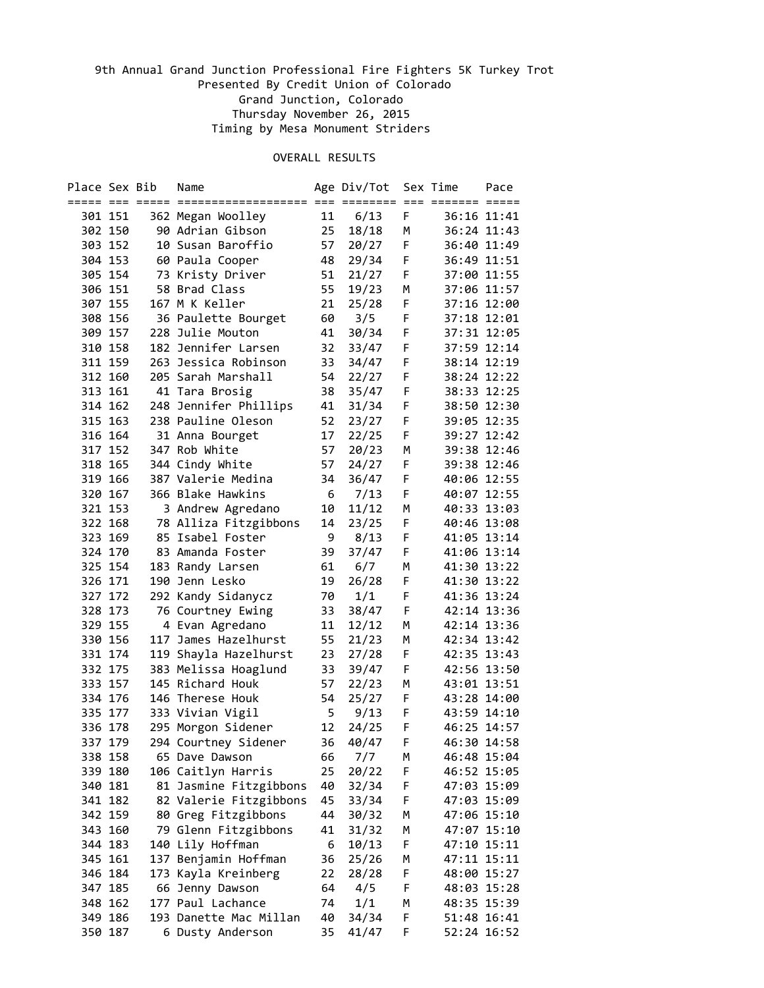| Place Sex Bib |                    | Name                   |    | Age Div/Tot |    | Sex Time    | Pace        |
|---------------|--------------------|------------------------|----|-------------|----|-------------|-------------|
|               |                    |                        |    |             |    |             |             |
|               | 301 151            | 362 Megan Woolley      | 11 | 6/13        | F. |             | 36:16 11:41 |
|               | 302 150            | 90 Adrian Gibson       | 25 | 18/18       | М  |             | 36:24 11:43 |
|               | 303 152            | 10 Susan Baroffio      | 57 | 20/27       | F  | 36:40 11:49 |             |
|               | 304 153            | 60 Paula Cooper        | 48 | 29/34       | F  | 36:49 11:51 |             |
|               | 305 154            | 73 Kristy Driver       | 51 | 21/27       | F  | 37:00 11:55 |             |
| 306 151       |                    | 58 Brad Class          | 55 | 19/23       | м  | 37:06 11:57 |             |
|               | 307 155            | 167 M K Keller         | 21 | 25/28       | F  | 37:16 12:00 |             |
|               | 308 156            | 36 Paulette Bourget    | 60 | 3/5         | F  | 37:18 12:01 |             |
|               | 309 157            | 228 Julie Mouton       | 41 | 30/34       | F  |             | 37:31 12:05 |
|               | 310 158            | 182 Jennifer Larsen    | 32 | 33/47       | F  | 37:59 12:14 |             |
|               | 311 159            | 263 Jessica Robinson   | 33 | 34/47       | F  | 38:14 12:19 |             |
|               |                    |                        |    |             | F  |             |             |
|               | 312 160            | 205 Sarah Marshall     | 54 | 22/27       |    | 38:24 12:22 |             |
|               | 313 161            | 41 Tara Brosig         | 38 | 35/47       | F  |             | 38:33 12:25 |
|               | 314 162            | 248 Jennifer Phillips  | 41 | 31/34       | F  |             | 38:50 12:30 |
|               | 315 163            | 238 Pauline Oleson     | 52 | 23/27       | F  | 39:05 12:35 |             |
|               | 316 164            | 31 Anna Bourget        | 17 | 22/25       | F  |             | 39:27 12:42 |
|               | 317 152            | 347 Rob White          | 57 | 20/23       | м  |             | 39:38 12:46 |
|               | 318 165            | 344 Cindy White        | 57 | 24/27       | F  | 39:38 12:46 |             |
|               | 319 166            | 387 Valerie Medina     | 34 | 36/47       | F  | 40:06 12:55 |             |
|               | 320 167            | 366 Blake Hawkins      | 6  | 7/13        | F. | 40:07 12:55 |             |
|               | 321 153            | 3 Andrew Agredano      | 10 | 11/12       | м  | 40:33 13:03 |             |
|               | 322 168            | 78 Alliza Fitzgibbons  | 14 | 23/25       | F. | 40:46 13:08 |             |
|               | 323 169            | 85 Isabel Foster       | 9  | 8/13        | F  | 41:05 13:14 |             |
|               | 324 170            | 83 Amanda Foster       | 39 | 37/47       | F  |             | 41:06 13:14 |
|               | 325 154            | 183 Randy Larsen       | 61 | 6/7         | м  | 41:30 13:22 |             |
|               | 326 171            | 190 Jenn Lesko         | 19 | 26/28       | F  | 41:30 13:22 |             |
|               | 327 172            | 292 Kandy Sidanycz     | 70 | 1/1         | F. | 41:36 13:24 |             |
| 328 173       |                    | 76 Courtney Ewing      | 33 | 38/47       | F  |             | 42:14 13:36 |
| 329 155       |                    | 4 Evan Agredano        | 11 | 12/12       | м  | 42:14 13:36 |             |
|               | 330 156            | 117 James Hazelhurst   | 55 | 21/23       | м  | 42:34 13:42 |             |
|               | 331 174            | 119 Shayla Hazelhurst  | 23 | 27/28       | F  | 42:35 13:43 |             |
|               | 332 175            | 383 Melissa Hoaglund   | 33 | 39/47       | F  | 42:56 13:50 |             |
|               | 333 157            | 145 Richard Houk       | 57 | 22/23       | M  | 43:01 13:51 |             |
|               | 334 176            | 146 Therese Houk       | 54 | 25/27       | F  | 43:28 14:00 |             |
|               | 335 177            | 333 Vivian Vigil       | 5  | 9/13        | F  | 43:59 14:10 |             |
| 336 178       |                    | 295 Morgon Sidener     | 12 | 24/25       | F  | 46:25 14:57 |             |
|               | 337 179            | 294 Courtney Sidener   |    | 36 40/47    | F  | 46:30 14:58 |             |
|               |                    |                        |    |             |    | 46:48 15:04 |             |
|               | 338 158<br>339 180 | 65 Dave Dawson         | 66 | 7/7         | М  |             |             |
|               |                    | 106 Caitlyn Harris     | 25 | 20/22       | F  | 46:52 15:05 |             |
|               | 340 181            | 81 Jasmine Fitzgibbons | 40 | 32/34       | F  | 47:03 15:09 |             |
|               | 341 182            | 82 Valerie Fitzgibbons | 45 | 33/34       | F  | 47:03 15:09 |             |
|               | 342 159            | 80 Greg Fitzgibbons    | 44 | 30/32       | М  | 47:06 15:10 |             |
|               | 343 160            | 79 Glenn Fitzgibbons   | 41 | 31/32       | М  |             | 47:07 15:10 |
|               | 344 183            | 140 Lily Hoffman       | 6  | 10/13       | F. | 47:10 15:11 |             |
|               | 345 161            | 137 Benjamin Hoffman   | 36 | 25/26       | М  | 47:11 15:11 |             |
|               | 346 184            | 173 Kayla Kreinberg    | 22 | 28/28       | F  | 48:00 15:27 |             |
|               | 347 185            | 66 Jenny Dawson        | 64 | 4/5         | F  | 48:03 15:28 |             |
|               | 348 162            | 177 Paul Lachance      | 74 | 1/1         | М  | 48:35 15:39 |             |
|               | 349 186            | 193 Danette Mac Millan | 40 | 34/34       | F  | 51:48 16:41 |             |
| 350 187       |                    | 6 Dusty Anderson       | 35 | 41/47       | F. | 52:24 16:52 |             |